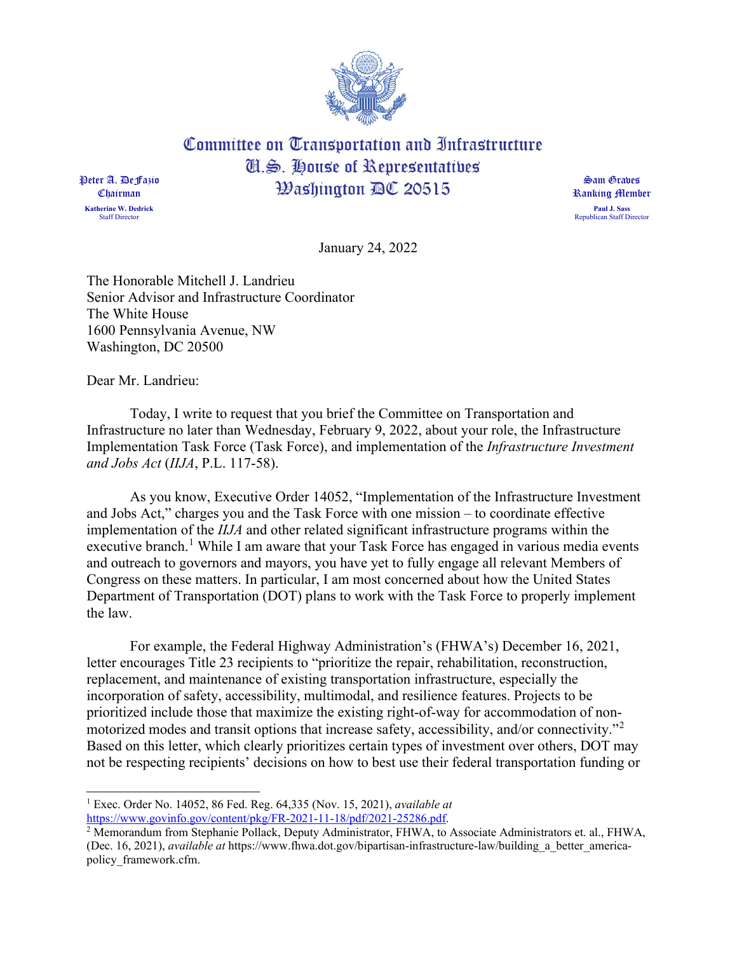

Committee on Transportation and Infrastructure **II.S. House of Representatives Washington AC 20515** 

Peter A. DeFazio Chairman **Katherine W. Dedrick** Staff Director

Sam Graves Ranking Member **Paul J. Sass** Republican Staff Director

January 24, 2022

The Honorable Mitchell J. Landrieu Senior Advisor and Infrastructure Coordinator The White House 1600 Pennsylvania Avenue, NW Washington, DC 20500

Dear Mr. Landrieu:

Today, I write to request that you brief the Committee on Transportation and Infrastructure no later than Wednesday, February 9, 2022, about your role, the Infrastructure Implementation Task Force (Task Force), and implementation of the *Infrastructure Investment and Jobs Act* (*IIJA*, P.L. 117-58).

As you know, Executive Order 14052, "Implementation of the Infrastructure Investment and Jobs Act," charges you and the Task Force with one mission – to coordinate effective implementation of the *IIJA* and other related significant infrastructure programs within the executive branch.<sup>1</sup> While I am aware that your Task Force has engaged in various media events and outreach to governors and mayors, you have yet to fully engage all relevant Members of Congress on these matters. In particular, I am most concerned about how the United States Department of Transportation (DOT) plans to work with the Task Force to properly implement the law.

For example, the Federal Highway Administration's (FHWA's) December 16, 2021, letter encourages Title 23 recipients to "prioritize the repair, rehabilitation, reconstruction, replacement, and maintenance of existing transportation infrastructure, especially the incorporation of safety, accessibility, multimodal, and resilience features. Projects to be prioritized include those that maximize the existing right-of-way for accommodation of nonmotorized modes and transit options that increase safety, accessibility, and/or connectivity."<sup>2</sup> Based on this letter, which clearly prioritizes certain types of investment over others, DOT may not be respecting recipients' decisions on how to best use their federal transportation funding or

<sup>1</sup> Exec. Order No. 14052, 86 Fed. Reg. 64,335 (Nov. 15, 2021), *available at*  https://www.govinfo.gov/content/pkg/FR-2021-11-18/pdf/2021-25286.pdf.

 $\frac{2}{3}$  Memorandum from Stephanie Pollack, Deputy Administrator, FHWA, to Associate Administrators et. al., FHWA, (Dec. 16, 2021), *available at* https://www.fhwa.dot.gov/bipartisan-infrastructure-law/building\_a\_better\_americapolicy\_framework.cfm.